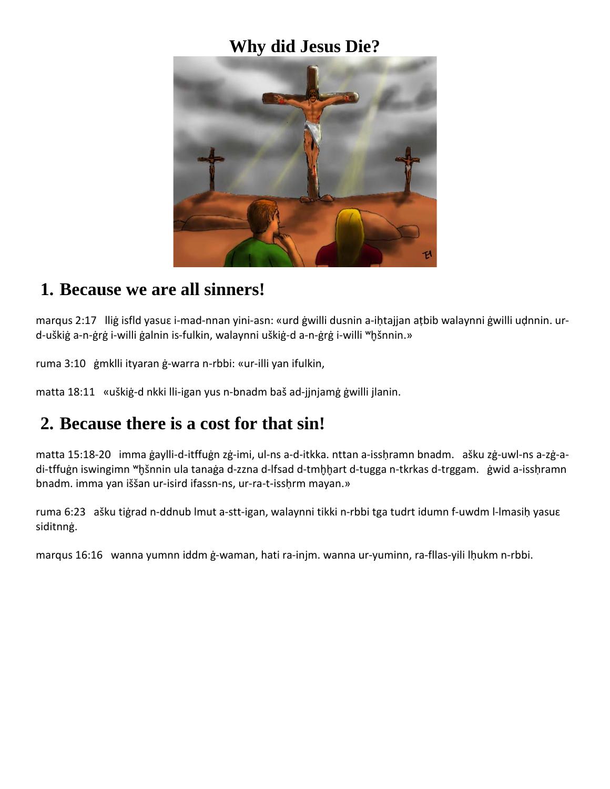#### **Why did Jesus Die?**



#### **1. Because we are all sinners!**

marqus 2:17 lliġ isfld yasuɛ i-mad-nnan yini-asn: «urd ġwilli dusnin a-iḥtajjan aṭbib walaynni ġwilli uḍnnin. urd-uškiġ a-n-ġrġ i-willi ġalnin is-fulkin, walaynni uškiġ-d a-n-ġrġ i-willi <sup>w</sup>ḫšnnin.»

ruma 3:10 ġmklli ityaran ġ-warra n-rbbi: «ur-illi yan ifulkin,

matta 18:11 «uškiġ-d nkki lli-igan yus n-bnadm baš ad-jjnjamġ ġwilli jlanin.

### **2. Because there is a cost for that sin!**

matta 15:18-20 imma ġaylli-d-itffuġn zġ-imi, ul-ns a-d-itkka. nttan a-issḥramn bnadm. ašku zġ-uwl-ns a-zġ-adi-tffuġn iswingimn <sup>w</sup>hšnnin ula tanaġa d-zzna d-lfsad d-tmhhart d-tugga n-tkrkas d-trggam. ġwid a-issḥramn bnadm. imma yan iššan ur-isird ifassn-ns, ur-ra-t-isshrm mayan.»

ruma 6:23 ašku tiġrad n-ddnub lmut a-stt-igan, walaynni tikki n-rbbi tga tudrt idumn f-uwdm l-lmasiḥ yasuɛ siditnnġ.

marqus 16:16 wanna yumnn iddm ġ-waman, hati ra-injm. wanna ur-yuminn, ra-fllas-yili lḥukm n-rbbi.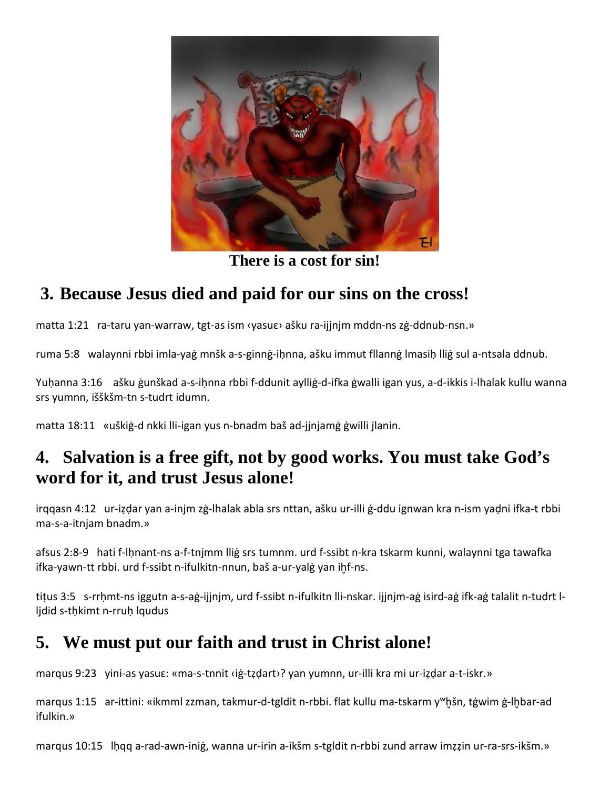

**There is a cost for sin!**

# **3. Because Jesus died and paid for our sins on the cross!**

matta 1:21 ra-taru yan-warraw, tgt-as ism ‹yasuɛ› ašku ra-ijjnjm mddn-ns zġ-ddnub-nsn.»

ruma 5:8 walaynni rbbi imla-yaġ mnšk a-s-ginnġ-iḥnna, ašku immut fllannġ lmasiḥ lliġ sul a-ntsala ddnub.

Yuḥanna 3:16 ašku ġunškad a-s-iḥnna rbbi f-ddunit aylliġ-d-ifka ġwalli igan yus, a-d-ikkis i-lhalak kullu wanna srs yumnn, išškšm-tn s-tudrt idumn.

matta 18:11 «uškiġ-d nkki lli-igan yus n-bnadm baš ad-jjnjamġ ġwilli jlanin.

## **4. Salvation is a free gift, not by good works. You must take God's word for it, and trust Jesus alone!**

irqqasn 4:12 ur-iẓḍar yan a-injm zġ-lhalak abla srs nttan, ašku ur-illi ġ-ddu ignwan kra n-ism yaḍni ifka-t rbbi ma-s-a-itnjam bnadm.»

afsus 2:8-9 hati f-lḥnant-ns a-f-tnjmm lliġ srs tumnm. urd f-ssibt n-kra tskarm kunni, walaynni tga tawafka ifka-yawn-tt rbbi. urd f-ssibt n-ifulkitn-nnun, baš a-ur-yalġ yan ihf-ns.

tiṭus 3:5 s-rrḥmt-ns iggutn a-s-aġ-ijjnjm, urd f-ssibt n-ifulkitn lli-nskar. ijjnjm-aġ isird-aġ ifk-aġ talalit n-tudrt lljdid s-tḥkimt n-rruḥ lqudus

# **5. We must put our faith and trust in Christ alone!**

marqus 9:23 yini-as yasuɛ: «ma-s-tnnit ‹iġ-tẓḍart›? yan yumnn, ur-illi kra mi ur-iẓḍar a-t-iskr.»

marqus 1:15 ar-ittini: «ikmml zzman, takmur-d-tgldit n-rbbi. flat kullu ma-tskarm y<sup>w</sup>hšn, tġwim ġ-lhbar-ad ifulkin.»

marqus 10:15 lḥqq a-rad-awn-iniġ, wanna ur-irin a-ikšm s-tgldit n-rbbi zund arraw imẓẓin ur-ra-srs-ikšm.»